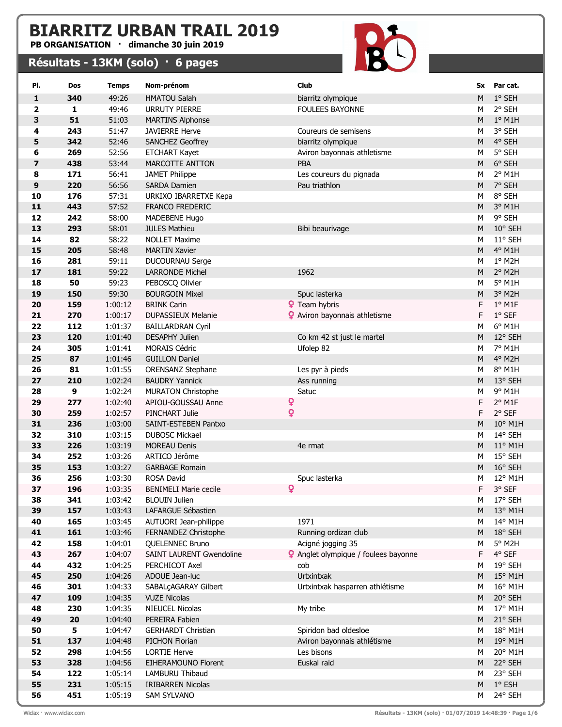## BIARRITZ URBAN TRAIL 2019

PB ORGANISATION · dimanche 30 juin 2019

## Résultats - 13KM (solo) · 6 pages



| PI.          | Dos          | <b>Temps</b>       | Nom-prénom                                      | <b>Club</b>                                 |           | Sx Par cat.        |
|--------------|--------------|--------------------|-------------------------------------------------|---------------------------------------------|-----------|--------------------|
| $\mathbf{1}$ | 340          | 49:26              | <b>HMATOU Salah</b>                             | biarritz olympique                          | M         | 1° SEH             |
| 2            | $\mathbf{1}$ | 49:46              | <b>URRUTY PIERRE</b>                            | <b>FOULEES BAYONNE</b>                      | M         | 2° SEH             |
| 3            | 51           | 51:03              | <b>MARTINS Alphonse</b>                         |                                             | M         | $1°$ M1H           |
| 4            | 243          | 51:47              | <b>JAVIERRE Herve</b>                           | Coureurs de semisens                        | М         | 3° SEH             |
| 5            | 342          | 52:46              | SANCHEZ Geoffrey                                | biarritz olympique                          | M         | 4° SEH             |
| 6            | 269          | 52:56              | <b>ETCHART Kayet</b>                            | Aviron bayonnais athletisme                 | М         | 5° SEH             |
| 7            | 438          | 53:44              | MARCOTTE ANTTON                                 | PBA                                         | M         | 6° SEH             |
| 8            | 171          | 56:41              | <b>JAMET Philippe</b>                           | Les coureurs du pignada                     | М         | 2° M1H             |
| 9            | 220          | 56:56              | <b>SARDA Damien</b>                             | Pau triathlon                               | M         | 7° SEH             |
| 10           | 176          | 57:31              | URKIXO IBARRETXE Kepa                           |                                             | М         | 8° SEH             |
| 11           | 443          | 57:52              | FRANCO FREDERIC                                 |                                             | M         | 3° M1H             |
| 12           | 242          | 58:00              | MADEBENE Hugo                                   |                                             | М         | 9° SEH             |
| 13           | 293          | 58:01              | <b>JULES Mathieu</b>                            | Bibi beaurivage                             | M         | 10° SEH            |
| 14           | 82           | 58:22              | <b>NOLLET Maxime</b>                            |                                             | M         | 11° SEH            |
| 15           | 205          | 58:48              | <b>MARTIN Xavier</b>                            |                                             | M         | 4° M1H             |
| 16           | 281          | 59:11              | DUCOURNAU Serge                                 |                                             | М         | 1° M2H             |
| 17           | 181          | 59:22              | LARRONDE Michel                                 | 1962                                        | М         | 2° M2H             |
| 18           | 50           | 59:23              | PEBOSCQ Olivier                                 |                                             | М         | 5° M1H             |
| 19           | 150          | 59:30              | <b>BOURGOIN Mixel</b>                           | Spuc lasterka                               | М         | 3° M2H             |
| 20           | 159          | 1:00:12            | <b>BRINK Carin</b>                              | <b>?</b> Team hybris                        | F         | $1^\circ$ M1F      |
| 21           | 270          | 1:00:17            | DUPASSIEUX Melanie                              | <b>2</b> Aviron bayonnais athletisme        | F         | $1°$ SEF           |
| 22           | 112          | 1:01:37            | <b>BAILLARDRAN Cyril</b>                        |                                             | М         | 6° M1H             |
| 23           | 120          | 1:01:40            | <b>DESAPHY Julien</b>                           | Co km 42 st just le martel                  | M         | 12° SEH            |
| 24           | 305          | 1:01:41            | <b>MORAIS Cédric</b>                            | Ufolep 82                                   | М         | 7° M1H             |
| 25           | 87           | 1:01:46            | <b>GUILLON Daniel</b>                           |                                             | M         | 4° M2H             |
| 26           | 81           | 1:01:55            | <b>ORENSANZ Stephane</b>                        | Les pyr à pieds                             | М         | 8° M1H<br>13° SEH  |
| $27$         | 210          | 1:02:24            | <b>BAUDRY Yannick</b>                           | Ass running                                 | M         |                    |
| 28<br>29     | 9<br>277     | 1:02:24<br>1:02:40 | <b>MURATON Christophe</b><br>APIOU-GOUSSAU Anne | Satuc                                       | М<br>F    | 9° M1H<br>$2°$ M1F |
| 30           | 259          | 1:02:57            | PINCHART Julie                                  | Q<br>Q                                      | F         | 2° SEF             |
| 31           | 236          | 1:03:00            | SAINT-ESTEBEN Pantxo                            |                                             | M         | 10° M1H            |
| 32           | 310          | 1:03:15            | <b>DUBOSC Mickael</b>                           |                                             | M         | 14° SEH            |
| 33           | 226          | 1:03:19            | <b>MOREAU Denis</b>                             | 4e rmat                                     | M         | $11^{\circ}$ M1H   |
| 34           | 252          | 1:03:26            | ARTICO Jérôme                                   |                                             | M         | 15° SEH            |
| 35           | 153          | 1:03:27            | <b>GARBAGE Romain</b>                           |                                             | ${\sf M}$ | 16° SEH            |
| 36           | 256          | 1:03:30            | ROSA David                                      | Spuc lasterka                               | Μ         | 12° M1H            |
| 37           | 196          | 1:03:35            | <b>BENIMELI Marie cecile</b>                    | $\mathbf Q$                                 | F         | 3° SEF             |
| 38           | 341          | 1:03:42            | <b>BLOUIN Julien</b>                            |                                             | М         | 17° SEH            |
| 39           | 157          | 1:03:43            | LAFARGUE Sébastien                              |                                             | M         | 13° M1H            |
| 40           | 165          | 1:03:45            | AUTUORI Jean-philippe                           | 1971                                        | М         | 14° M1H            |
| 41           | 161          | 1:03:46            | FERNANDEZ Christophe                            | Running ordizan club                        | M         | 18° SEH            |
| 42           | 158          | 1:04:01            | QUELENNEC Bruno                                 | Acigné jogging 35                           | м         | 5° M2H             |
| 43           | 267          | 1:04:07            | SAINT LAURENT Gwendoline                        | <b>2</b> Anglet olympique / foulees bayonne | F         | 4° SEF             |
| 44           | 432          | 1:04:25            | PERCHICOT Axel                                  | cob                                         | м         | 19° SEH            |
| 45           | 250          | 1:04:26            | ADOUE Jean-luc                                  | Urtxintxak                                  | M         | 15° M1H            |
| 46           | 301          | 1:04:33            | SABALÇAGARAY Gilbert                            | Urtxintxak hasparren athlétisme             | М         | 16° M1H            |
| 47           | 109          | 1:04:35            | <b>VUZE Nicolas</b>                             |                                             | M         | 20° SEH            |
| 48           | 230          | 1:04:35            | NIEUCEL Nicolas                                 | My tribe                                    | М         | 17° M1H            |
| 49           | 20           | 1:04:40            | PEREIRA Fabien                                  |                                             | M         | 21° SEH            |
| 50           | 5            | 1:04:47            | <b>GERHARDT Christian</b>                       | Spiridon bad oldesloe                       | М         | 18° M1H            |
| 51           | 137          | 1:04:48            | PICHON Florian                                  | Aviron bayonnais athlétisme                 | M         | 19° M1H            |
| 52           | 298          | 1:04:56            | <b>LORTIE Herve</b>                             | Les bisons                                  | М         | 20° M1H            |
| 53           | 328          | 1:04:56            | EIHERAMOUNO Florent                             | Euskal raid                                 | M         | 22° SEH            |
| 54           | 122          | 1:05:14            | LAMBURU Thibaud                                 |                                             | М         | 23° SEH            |
| 55           | 231          | 1:05:15            | <b>IRIBARREN Nicolas</b>                        |                                             | M         | $1^{\circ}$ ESH    |
| 56           | 451          | 1:05:19            | SAM SYLVANO                                     |                                             | М         | 24° SEH            |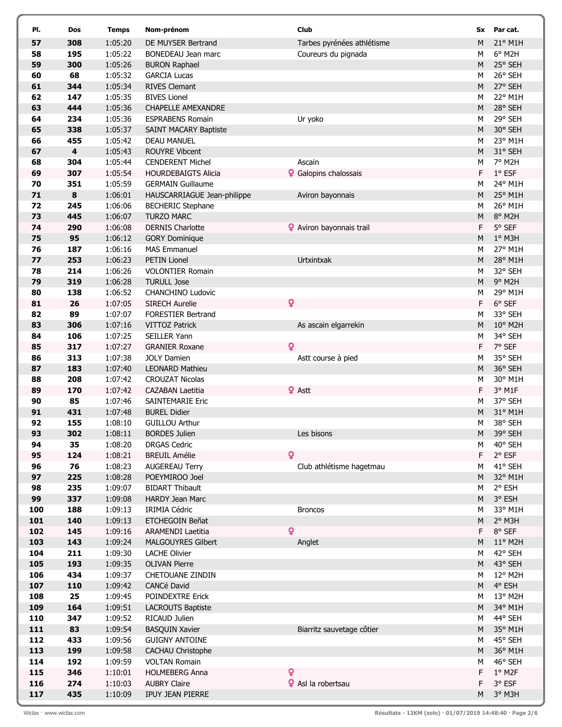| PI.        | Dos                     | <b>Temps</b>       | Nom-prénom                                    | Club                            | Sx     | Par cat.            |
|------------|-------------------------|--------------------|-----------------------------------------------|---------------------------------|--------|---------------------|
| 57         | 308                     | 1:05:20            | DE MUYSER Bertrand                            | Tarbes pyrénées athlétisme      | M      | 21° M1H             |
| 58         | 195                     | 1:05:22            | BONEDEAU Jean marc                            | Coureurs du pignada             | М      | $6^{\circ}$ M2H     |
| 59         | 300                     | 1:05:26            | <b>BURON Raphael</b>                          |                                 | M      | 25° SEH             |
| 60         | 68                      | 1:05:32            | <b>GARCIA Lucas</b>                           |                                 | М      | 26° SEH             |
| 61         | 344                     | 1:05:34            | <b>RIVES Clemant</b>                          |                                 | M      | 27° SEH             |
| 62         | 147                     | 1:05:35            | <b>BIVES Lionel</b>                           |                                 | М      | 22° M1H             |
| 63         | 444                     | 1:05:36            | <b>CHAPELLE AMEXANDRE</b>                     |                                 | M      | 28° SEH             |
| 64         | 234                     | 1:05:36            | <b>ESPRABENS Romain</b>                       | Ur yoko                         | М      | 29° SEH             |
| 65         | 338                     | 1:05:37            | <b>SAINT MACARY Baptiste</b>                  |                                 | M      | 30° SEH             |
| 66         | 455                     | 1:05:42            | <b>DEAU MANUEL</b>                            |                                 | М      | 23° M1H             |
| 67         | $\overline{\mathbf{4}}$ | 1:05:43            | <b>ROUYRE Vibcent</b>                         |                                 | M      | 31° SEH             |
| 68         | 304                     | 1:05:44            | <b>CENDERENT Michel</b>                       | Ascain                          | М      | 7° M2H              |
| 69         | 307                     | 1:05:54            | <b>HOURDEBAIGTS Alicia</b>                    | Calopins chalossais             | F      | $1^{\circ}$ ESF     |
| 70         | 351                     | 1:05:59            | <b>GERMAIN Guillaume</b>                      |                                 | М      | 24° M1H             |
| 71         | 8                       | 1:06:01            | HAUSCARRIAGUE Jean-philippe                   | Aviron bayonnais                | M      | 25° M1H             |
| 72         | 245                     | 1:06:06            | <b>BECHERIC Stephane</b>                      |                                 | М      | 26° M1H             |
| 73         | 445                     | 1:06:07            | <b>TURZO MARC</b>                             |                                 | M      | 8° M2H              |
| 74         | 290                     | 1:06:08            | <b>DERNIS Charlotte</b>                       | <b>Q</b> Aviron bayonnais trail | F.     | 5° SEF              |
| 75         | 95                      | 1:06:12            | <b>GORY Dominique</b>                         |                                 | M      | $1°$ M3H            |
| 76         | 187                     | 1:06:16            | <b>MAS Emmanuel</b>                           |                                 | М      | 27° M1H             |
| 77         | 253                     | 1:06:23            | PETIN Lionel                                  | Urtxintxak                      | M      | 28° M1H<br>32° SEH  |
| 78<br>79   | 214<br>319              | 1:06:26<br>1:06:28 | <b>VOLONTIER Romain</b><br><b>TURULL Jose</b> |                                 | М<br>M | 9° M2H              |
| 80         | 138                     | 1:06:52            | CHANCHINO Ludovic                             |                                 | M      | 29° M1H             |
| 81         | 26                      | 1:07:05            | <b>SIRECH Aurelie</b>                         | Q                               | F      | $6°$ SEF            |
| 82         | 89                      | 1:07:07            | <b>FORESTIER Bertrand</b>                     |                                 | м      | 33° SEH             |
| 83         | 306                     | 1:07:16            | <b>VITTOZ Patrick</b>                         | As ascain elgarrekin            | M      | 10° M2H             |
| 84         | 106                     | 1:07:25            | <b>SEILLER Yann</b>                           |                                 | M      | 34° SEH             |
| 85         | 317                     | 1:07:27            | <b>GRANIER Roxane</b>                         | Q                               | F      | 7° SEF              |
| 86         | 313                     | 1:07:38            | <b>JOLY Damien</b>                            | Astt course à pied              | М      | 35° SEH             |
| 87         | 183                     | 1:07:40            | <b>LEONARD Mathieu</b>                        |                                 | M      | 36° SEH             |
| 88         | 208                     | 1:07:42            | <b>CROUZAT Nicolas</b>                        |                                 | М      | 30° M1H             |
| 89         | 170                     | 1:07:42            | <b>CAZABAN Laetitia</b>                       | <b>♀</b> Astt                   | F      | 3° M1F              |
| 90         | 85                      | 1:07:46            | <b>SAINTEMARIE Eric</b>                       |                                 | М      | 37° SEH             |
| 91         | 431                     | 1:07:48            | <b>BUREL Didier</b>                           |                                 | M      | 31° M1H             |
| 92         | 155                     | 1:08:10            | <b>GUILLOU Arthur</b>                         |                                 | М      | 38° SEH             |
| 93         | 302                     | 1:08:11            | <b>BORDES Julien</b>                          | Les bisons                      |        | M 39° SEH           |
| 94         | 35                      | 1:08:20            | <b>DRGAS Cedric</b>                           |                                 | М      | 40° SEH             |
| 95         | 124                     | 1:08:21            | <b>BREUIL Amélie</b>                          | $\boldsymbol{Q}$                | F.     | $2°$ ESF            |
| 96<br>97   | 76<br>225               | 1:08:23<br>1:08:28 | <b>AUGEREAU Terry</b><br>POEYMIROO Joel       | Club athlétisme hagetmau        | М<br>M | 41° SEH<br>32° M1H  |
| 98         | 235                     | 1:09:07            | <b>BIDART Thibault</b>                        |                                 | М      | 2° ESH              |
| 99         | 337                     | 1:09:08            | <b>HARDY Jean Marc</b>                        |                                 | M      | 3° ESH              |
| 100        | 188                     | 1:09:13            | <b>IRIMIA Cédric</b>                          | <b>Broncos</b>                  | М      | 33° M1H             |
| 101        | 140                     | 1:09:13            | ETCHEGOIN Beñat                               |                                 | M      | 2° M3H              |
| 102        | 145                     | 1:09:16            | <b>ARAMENDI Laetitia</b>                      | $\overline{\mathbf{Q}}$         | F.     | $8°$ SEF            |
| 103        | 143                     | 1:09:24            | <b>MALGOUYRES Gilbert</b>                     | Anglet                          | M      | 11° M2H             |
| 104        | 211                     | 1:09:30            | <b>LACHE Olivier</b>                          |                                 | М      | 42° SEH             |
| 105        | 193                     | 1:09:35            | <b>OLIVAN Pierre</b>                          |                                 | M      | 43° SEH             |
| 106        | 434                     | 1:09:37            | CHETOUANE ZINDIN                              |                                 | М      | 12° M2H             |
| 107        | 110                     | 1:09:42            | CANCé David                                   |                                 | M      | 4° ESH              |
| 108        | 25                      | 1:09:45            | POINDEXTRE Erick                              |                                 | м      | 13° M2H             |
| 109        | 164                     | 1:09:51            | <b>LACROUTS Baptiste</b>                      |                                 | M      | 34° M1H             |
| 110        | 347                     | 1:09:52            | RICAUD Julien                                 |                                 | м      | 44° SEH             |
| 111        | 83                      | 1:09:54            | <b>BASQUIN Xavier</b>                         | Biarritz sauvetage côtier       | M      | 35° M1H             |
| 112        | 433                     | 1:09:56            | <b>GUIGNY ANTOINE</b>                         |                                 | М      | 45° SEH             |
| 113        | 199                     | 1:09:58            | CACHAU Christophe                             |                                 | M      | 36° M1H             |
| 114<br>115 | 192<br>346              | 1:09:59<br>1:10:01 | <b>VOLTAN Romain</b><br><b>HOLMEBERG Anna</b> | Q                               | М<br>F | 46° SEH<br>$1°$ M2F |
| 116        | 274                     | 1:10:03            | <b>AUBRY Claire</b>                           | <b>♀</b> Asl la robertsau       | F      | 3° ESF              |
| 117        | 435                     | 1:10:09            | IPUY JEAN PIERRE                              |                                 | M      | 3° M3H              |
|            |                         |                    |                                               |                                 |        |                     |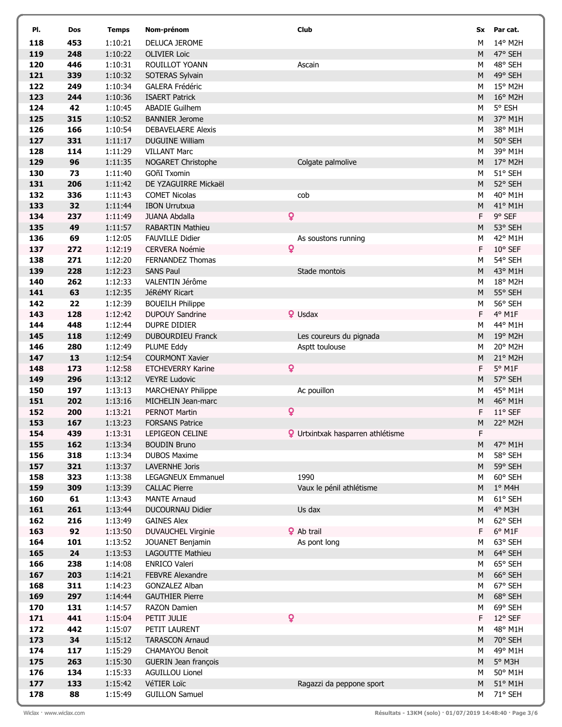| PI.        | Dos        | <b>Temps</b>       | Nom-prénom                                     | Club                                     | Sx        | Par cat.           |
|------------|------------|--------------------|------------------------------------------------|------------------------------------------|-----------|--------------------|
| 118        | 453        | 1:10:21            | DELUCA JEROME                                  |                                          | М         | 14° M2H            |
| 119        | 248        | 1:10:22            | <b>OLIVIER Loic</b>                            |                                          | M         | 47° SEH            |
| 120        | 446        | 1:10:31            | ROUILLOT YOANN                                 | Ascain                                   | М         | 48° SEH            |
| 121        | 339        | 1:10:32            | SOTERAS Sylvain                                |                                          | M         | 49° SEH            |
| 122        | 249        | 1:10:34            | <b>GALERA Frédéric</b>                         |                                          | М         | 15° M2H            |
| 123        | 244        | 1:10:36            | <b>ISAERT Patrick</b>                          |                                          | M         | $16^{\circ}$ M2H   |
| 124        | 42         | 1:10:45            | <b>ABADIE Guilhem</b>                          |                                          | М         | 5° ESH             |
| 125        | 315        | 1:10:52            | <b>BANNIER Jerome</b>                          |                                          | M         | 37° M1H            |
| 126        | 166        | 1:10:54            | <b>DEBAVELAERE Alexis</b>                      |                                          | М         | 38° M1H            |
| 127        | 331        | 1:11:17            | <b>DUGUINE William</b>                         |                                          | M         | 50° SEH            |
| 128        | 114        | 1:11:29            | <b>VILLANT Marc</b>                            |                                          | M         | 39° M1H            |
| 129        | 96         | 1:11:35            | NOGARET Christophe                             | Colgate palmolive                        | ${\sf M}$ | 17° M2H            |
| 130        | 73         | 1:11:40            | GOñI Txomin                                    |                                          | M         | 51° SEH            |
| 131        | 206        | 1:11:42            | DE YZAGUIRRE Mickaël                           |                                          | ${\sf M}$ | 52° SEH            |
| 132        | 336        | 1:11:43            | <b>COMET Nicolas</b>                           | cob                                      | М         | 40° M1H            |
| 133        | 32         | 1:11:44            | <b>IBON Urrutxua</b>                           |                                          | M         | 41° M1H            |
| 134        | 237        | 1:11:49            | <b>JUANA Abdalla</b>                           | ò                                        | F         | 9° SEF             |
| 135        | 49         | 1:11:57            | <b>RABARTIN Mathieu</b>                        |                                          | M         | 53° SEH            |
| 136        | 69         | 1:12:05            | <b>FAUVILLE Didier</b>                         | As soustons running                      | M         | 42° M1H            |
| 137        | 272        | 1:12:19            | <b>CERVERA Noémie</b>                          | Q                                        | F         | 10° SEF            |
| 138        | 271        | 1:12:20            | FERNANDEZ Thomas                               |                                          | М         | 54° SEH            |
| 139        | 228        | 1:12:23            | <b>SANS Paul</b>                               | Stade montois                            | M         | 43° M1H            |
| 140        | 262        | 1:12:33            | VALENTIN Jérôme                                |                                          | М         | 18° M2H            |
| 141        | 63         | 1:12:35            | JéRéMY Ricart                                  |                                          | M         | 55° SEH            |
| 142        | 22         | 1:12:39            | <b>BOUEILH Philippe</b>                        |                                          | M         | 56° SEH            |
| 143        | 128        | 1:12:42            | <b>DUPOUY Sandrine</b>                         | <sup>2</sup> Usdax                       | F         | 4° M1F             |
| 144        | 448        | 1:12:44            | DUPRE DIDIER                                   |                                          | М         | 44° M1H            |
| 145        | 118        | 1:12:49            | DUBOURDIEU Franck                              | Les coureurs du pignada                  | M         | 19° M2H            |
| 146        | 280        | 1:12:49            | PLUME Eddy                                     | Asptt toulouse                           | М         | 20° M2H            |
| 147        | 13         | 1:12:54            | <b>COURMONT Xavier</b>                         |                                          | M         | 21° M2H            |
| 148        | 173        | 1:12:58            | <b>ETCHEVERRY Karine</b>                       | ò                                        | F         | $5^{\circ}$ M1F    |
| 149        | 296        | 1:13:12            | <b>VEYRE Ludovic</b>                           |                                          | M         | 57° SEH            |
| 150        | 197        | 1:13:13            | MARCHENAY Philippe                             | Ac pouillon                              | М         | 45° M1H            |
| 151        | 202        | 1:13:16            | MICHELIN Jean-marc                             |                                          | M<br>F    | 46° M1H            |
| 152<br>153 | 200<br>167 | 1:13:21<br>1:13:23 | <b>PERNOT Martin</b><br><b>FORSANS Patrice</b> | ò                                        | M         | 11° SEF<br>22° M2H |
| 154        | 439        | 1:13:31            | LEPIGEON CELINE                                | <b>Q</b> Urtxintxak hasparren athlétisme | F.        |                    |
| 155        | 162        | 1:13:34            | <b>BOUDIN Bruno</b>                            |                                          | M         | 47° M1H            |
| 156        | 318        | 1:13:34            | <b>DUBOS Maxime</b>                            |                                          | M         | 58° SEH            |
| 157        | 321        | 1:13:37            | <b>LAVERNHE Joris</b>                          |                                          | M         | 59° SEH            |
| 158        | 323        | 1:13:38            | <b>LEGAGNEUX Emmanuel</b>                      | 1990                                     | M         | 60° SEH            |
| 159        | 309        | 1:13:39            | <b>CALLAC Pierre</b>                           | Vaux le pénil athlétisme                 | M         | $1°$ M4H           |
| 160        | 61         | 1:13:43            | <b>MANTE Arnaud</b>                            |                                          | M         | 61° SEH            |
| 161        | 261        | 1:13:44            | DUCOURNAU Didier                               | Us dax                                   | M         | 4° M3H             |
| 162        | 216        | 1:13:49            | <b>GAINES Alex</b>                             |                                          | M         | 62° SEH            |
| 163        | 92         | 1:13:50            | DUVAUCHEL Virginie                             | <b>♀</b> Ab trail                        | F         | $6^{\circ}$ M1F    |
| 164        | 101        | 1:13:52            | JOUANET Benjamin                               | As pont long                             | M         | 63° SEH            |
| 165        | 24         | 1:13:53            | LAGOUTTE Mathieu                               |                                          | M         | 64° SEH            |
| 166        | 238        | 1:14:08            | ENRICO Valeri                                  |                                          | М         | 65° SEH            |
| 167        | 203        | 1:14:21            | FEBVRE Alexandre                               |                                          | M         | 66° SEH            |
| 168        | 311        | 1:14:23            | <b>GONZALEZ Alban</b>                          |                                          | М         | 67° SEH            |
| 169        | 297        | 1:14:44            | <b>GAUTHIER Pierre</b>                         |                                          | M         | 68° SEH            |
| 170        | 131        | 1:14:57            | <b>RAZON Damien</b>                            |                                          | M         | 69° SEH            |
| 171        | 441        | 1:15:04            | PETIT JULIE                                    | O                                        | F.        | 12° SEF            |
| 172        | 442        | 1:15:07            | PETIT LAURENT                                  |                                          | М         | 48° M1H            |
| 173        | 34         | 1:15:12            | <b>TARASCON Arnaud</b>                         |                                          | M         | 70° SEH            |
| 174        | 117        | 1:15:29            | CHAMAYOU Benoit                                |                                          | М         | 49° M1H            |
| 175        | 263        | 1:15:30            | GUERIN Jean françois                           |                                          | M         | 5° M3H             |
| 176        | 134        | 1:15:33            | <b>AGUILLOU Lionel</b>                         |                                          | М         | 50° M1H            |
| 177        | 133        | 1:15:42            | VéTIER Loïc                                    | Ragazzi da peppone sport                 | M         | 51° M1H            |
| 178        | 88         | 1:15:49            | <b>GUILLON Samuel</b>                          |                                          | М         | 71° SEH            |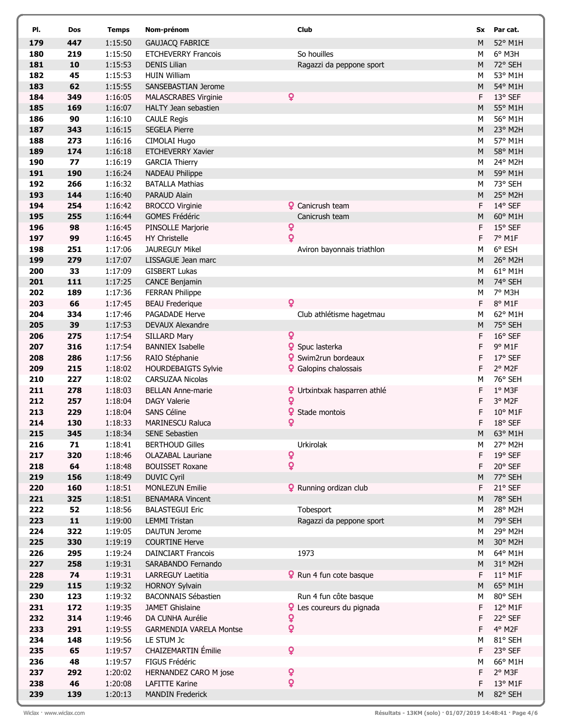| PI.        | Dos       | <b>Temps</b>       | Nom-prénom                                         | Club                                | Sx     | Par cat.             |
|------------|-----------|--------------------|----------------------------------------------------|-------------------------------------|--------|----------------------|
| 179        | 447       | 1:15:50            | <b>GAUJACQ FABRICE</b>                             |                                     | M      | 52° M1H              |
| 180        | 219       | 1:15:50            | <b>ETCHEVERRY Francois</b>                         | So houilles                         | М      | $6^{\circ}$ M3H      |
| 181        | 10        | 1:15:53            | <b>DENIS Lilian</b>                                | Ragazzi da peppone sport            | M      | 72° SEH              |
| 182        | 45        | 1:15:53            | <b>HUIN William</b>                                |                                     | М      | 53° M1H              |
| 183        | 62        | 1:15:55            | SANSEBASTIAN Jerome                                |                                     | M      | 54° M1H              |
| 184        | 349       | 1:16:05            | <b>MALASCRABES Virginie</b>                        | $\overline{\mathbf{Q}}$             | F      | 13° SEF              |
| 185        | 169       | 1:16:07            | HALTY Jean sebastien                               |                                     | M      | 55° M1H              |
| 186        | 90        | 1:16:10            | <b>CAULE Regis</b>                                 |                                     | М      | 56° M1H              |
| 187        | 343       | 1:16:15            | <b>SEGELA Pierre</b>                               |                                     | M      | 23° M2H              |
| 188        | 273       | 1:16:16            | CIMOLAI Hugo                                       |                                     | M      | 57° M1H              |
| 189        | 174       | 1:16:18            | <b>ETCHEVERRY Xavier</b>                           |                                     | M      | 58° M1H              |
| 190        | 77        | 1:16:19            | <b>GARCIA Thierry</b>                              |                                     | M      | 24° M2H              |
| 191        | 190       | 1:16:24            | <b>NADEAU Philippe</b>                             |                                     | M      | 59° M1H              |
| 192        | 266       | 1:16:32            | <b>BATALLA Mathias</b>                             |                                     | М      | 73° SEH              |
| 193        | 144       | 1:16:40            | PARAUD Alain                                       |                                     | M      | 25° M2H              |
| 194        | 254       | 1:16:42            | <b>BROCCO Virginie</b>                             | <b>Q</b> Canicrush team             | F.     | 14° SEF              |
| 195        | 255       | 1:16:44            | <b>GOMES Frédéric</b>                              | Canicrush team                      | M      | 60° M1H              |
| 196        | 98        | 1:16:45            | PINSOLLE Marjorie                                  | Q                                   | F      | 15° SEF              |
| 197        | 99        | 1:16:45            | HY Christelle                                      | Q                                   | F      | 7° M1F               |
| 198        | 251       | 1:17:06            | <b>JAUREGUY Mikel</b>                              | Aviron bayonnais triathlon          | м      | 6° ESH               |
| 199        | 279       | 1:17:07            | LISSAGUE Jean marc                                 |                                     | M      | 26° M2H              |
| 200        | 33        | 1:17:09            | <b>GISBERT Lukas</b>                               |                                     | М      | 61° M1H              |
| 201        | 111       | 1:17:25            | <b>CANCE Benjamin</b>                              |                                     | M      | 74° SEH              |
| 202        | 189       | 1:17:36            | <b>FERRAN Philippe</b>                             |                                     | м      | 7° M3H               |
| 203        | 66        | 1:17:45            | <b>BEAU Frederique</b>                             | Q                                   | F      | 8° M1F               |
| 204        | 334       | 1:17:46            | PAGADADE Herve                                     | Club athlétisme hagetmau            | м      | 62° M1H              |
| 205        | 39        | 1:17:53            | <b>DEVAUX Alexandre</b>                            |                                     | M      | 75° SEH              |
| 206        | 275       | 1:17:54            | SILLARD Mary                                       | Q                                   | F      | 16° SEF              |
| 207        | 316       | 1:17:54            | <b>BANNIEX Isabelle</b>                            | <b>♀</b> Spuc lasterka              | F      | 9° M1F               |
| 208        | 286       | 1:17:56            | RAIO Stéphanie                                     | <b>9</b> Swim2run bordeaux          | F      | 17° SEF              |
| 209        | 215       | 1:18:02            | <b>HOURDEBAIGTS Sylvie</b>                         | <b>Q</b> Galopins chalossais        | F      | 2° M2F               |
| 210        | 227       | 1:18:02            | CARSUZAA Nicolas                                   |                                     | М      | 76° SEH              |
| 211        | 278       | 1:18:03            | <b>BELLAN Anne-marie</b>                           | <b>Q</b> Urtxintxak hasparren athlé | F      | 1° M3F               |
| 212        | 257       | 1:18:04            | <b>DAGY Valerie</b>                                | ò                                   | F      | 3° M2F               |
| 213        | 229       | 1:18:04            | SANS Céline                                        | Q<br>Stade montois                  | F      | 10° M1F              |
| 214<br>215 | 130       | 1:18:33            | <b>MARINESCU Raluca</b>                            | Q                                   | F      | 18° SEF              |
|            | 345       | 1:18:34            | SENE Sebastien                                     | Urkirolak                           |        | M 63° M1H<br>27° M2H |
| 216<br>217 | 71<br>320 | 1:18:41<br>1:18:46 | <b>BERTHOUD Gilles</b><br><b>OLAZABAL Lauriane</b> | Q                                   | М<br>F | 19° SEF              |
| 218        | 64        | 1:18:48            | <b>BOUISSET Roxane</b>                             | Q                                   | F      | 20° SEF              |
| 219        | 156       | 1:18:49            | <b>DUVIC Cyril</b>                                 |                                     | M      | 77° SEH              |
| 220        | 160       | 1:18:51            | <b>MONLEZUN Emilie</b>                             | <b>Q</b> Running ordizan club       | F      | 21° SEF              |
| 221        | 325       | 1:18:51            | <b>BENAMARA Vincent</b>                            |                                     | M      | 78° SEH              |
| 222        | 52        | 1:18:56            | <b>BALASTEGUI Eric</b>                             | Tobesport                           | M      | 28° M2H              |
| 223        | 11        | 1:19:00            | <b>LEMMI Tristan</b>                               | Ragazzi da peppone sport            | M      | 79° SEH              |
| 224        | 322       | 1:19:05            | <b>DAUTUN Jerome</b>                               |                                     | М      | 29° M2H              |
| 225        | 330       | 1:19:19            | <b>COURTINE Herve</b>                              |                                     | M      | 30° M2H              |
| 226        | 295       | 1:19:24            | <b>DAINCIART Francois</b>                          | 1973                                | М      | 64° M1H              |
| 227        | 258       | 1:19:31            | SARABANDO Fernando                                 |                                     | M      | 31° M2H              |
| 228        | 74        | 1:19:31            | LARREGUY Laetitia                                  | <b>Q</b> Run 4 fun cote basque      | F      | $11^{\circ}$ M1F     |
| 229        | 115       | 1:19:32            | <b>HORNOY Sylvain</b>                              |                                     | M      | 65° M1H              |
| 230        | 123       | 1:19:32            | <b>BACONNAIS Sébastien</b>                         | Run 4 fun côte basque               | М      | 80° SEH              |
| 231        | 172       | 1:19:35            | <b>JAMET Ghislaine</b>                             | <b>Q</b> Les coureurs du pignada    | F      | 12° M1F              |
| 232        | 314       | 1:19:46            | DA CUNHA Aurélie                                   | Q                                   | F      | 22° SEF              |
| 233        | 291       | 1:19:55            | <b>GARMENDIA VARELA Montse</b>                     | Q                                   | F      | 4° M2F               |
| 234        | 148       | 1:19:56            | LE STUM Jc                                         |                                     | м      | 81° SEH              |
| 235        | 65        | 1:19:57            | <b>CHAIZEMARTIN</b> Émilie                         | Q                                   | F      | 23° SEF              |
| 236        | 48        | 1:19:57            | FIGUS Frédéric                                     |                                     | М      | 66° M1H              |
| 237        | 292       | 1:20:02            | HERNANDEZ CARO M jose                              | Q                                   | F      | 2° M3F               |
| 238        | 46        | 1:20:08            | <b>LAFITTE Karine</b>                              | ò                                   | F      | 13° M1F              |
| 239        | 139       | 1:20:13            | <b>MANDIN Frederick</b>                            |                                     | M      | 82° SEH              |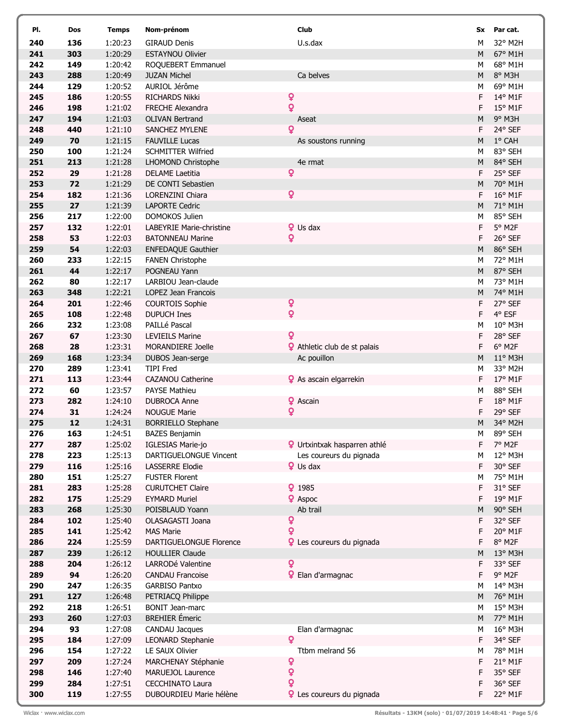| PI.        | Dos        | <b>Temps</b>       | Nom-prénom                                  | Club                     |                                                                | Sx        | Par cat.          |
|------------|------------|--------------------|---------------------------------------------|--------------------------|----------------------------------------------------------------|-----------|-------------------|
| 240        | 136        | 1:20:23            | <b>GIRAUD Denis</b>                         | U.s.dax                  |                                                                | м         | 32° M2H           |
| 241        | 303        | 1:20:29            | <b>ESTAYNOU Olivier</b>                     |                          |                                                                | M         | 67° M1H           |
| 242        | 149        | 1:20:42            | ROQUEBERT Emmanuel                          |                          |                                                                | М         | 68° M1H           |
| 243        | 288        | 1:20:49            | <b>JUZAN Michel</b>                         | Ca belves                |                                                                | M         | 8° M3H            |
| 244        | 129        | 1:20:52            | AURIOL Jérôme                               |                          |                                                                | М         | 69° M1H           |
| 245        | 186        | 1:20:55            | <b>RICHARDS Nikki</b>                       | Q                        |                                                                | F         | 14° M1F           |
| 246        | 198        | 1:21:02            | <b>FRECHE Alexandra</b>                     | Q                        |                                                                | F         | $15^{\circ}$ M1F  |
| 247        | 194        | 1:21:03            | <b>OLIVAN Bertrand</b>                      | Aseat                    |                                                                | M         | 9° M3H            |
| 248        | 440        | 1:21:10            | SANCHEZ MYLENE                              | ò                        |                                                                | F         | 24° SEF           |
| 249        | 70         | 1:21:15            | <b>FAUVILLE Lucas</b>                       |                          | As soustons running                                            | M         | 1° CAH            |
| 250        | 100        | 1:21:24            | <b>SCHMITTER Wilfried</b>                   |                          |                                                                | М         | 83° SEH           |
| 251        | 213        | 1:21:28            | LHOMOND Christophe                          | 4e rmat                  |                                                                | M         | 84° SEH           |
| 252        | 29         | 1:21:28            | <b>DELAME Laetitia</b>                      | Q                        |                                                                | F         | 25° SEF           |
| 253        | 72         | 1:21:29            | DE CONTI Sebastien                          |                          |                                                                | M         | 70° M1H           |
| 254        | 182        | 1:21:36            | LORENZINI Chiara                            | ò                        |                                                                | F.        | 16° M1F           |
| 255        | 27         | 1:21:39            | LAPORTE Cedric                              |                          |                                                                | M         | 71° M1H           |
| 256        | 217        | 1:22:00            | DOMOKOS Julien                              |                          |                                                                | М         | 85° SEH           |
| 257        | 132        | 1:22:01            | LABEYRIE Marie-christine                    | <b>Q</b> Us dax          |                                                                | F         | 5° M2F            |
| 258        | 53         | 1:22:03            | <b>BATONNEAU Marine</b>                     | ò                        |                                                                | F         | 26° SEF           |
| 259        | 54         | 1:22:03            | <b>ENFEDAQUE Gauthier</b>                   |                          |                                                                | M         | 86° SEH           |
| 260        | 233        | 1:22:15            | <b>FANEN Christophe</b>                     |                          |                                                                | м         | 72° M1H           |
| 261        | 44         | 1:22:17            | POGNEAU Yann                                |                          |                                                                | M         | 87° SEH           |
| 262        | 80         | 1:22:17            | LARBIOU Jean-claude                         |                          |                                                                | М         | 73° M1H           |
| 263        | 348        | 1:22:21            | LOPEZ Jean Francois                         |                          |                                                                | M         | 74° M1H           |
| 264        | 201        | 1:22:46            | <b>COURTOIS Sophie</b>                      | Q                        |                                                                | F         | 27° SEF           |
| 265        | 108        | 1:22:48            | <b>DUPUCH Ines</b>                          | ò                        |                                                                | F         | 4° ESF            |
| 266        | 232        | 1:23:08            | PAILLé Pascal                               |                          |                                                                | M         | 10° M3H           |
| 267        | 67         | 1:23:30            | <b>LEVIEILS Marine</b>                      | ò                        |                                                                | F         | 28° SEF           |
| 268        | 28         | 1:23:31            | MORANDIERE Joelle                           |                          | <b>?</b> Athletic club de st palais                            | F         | 6° M2F            |
| 269        | 168        | 1:23:34            | DUBOS Jean-serge                            |                          | Ac pouillon                                                    | M         | $11^{\circ}$ M3H  |
| 270        | 289        | 1:23:41            | <b>TIPI Fred</b>                            |                          |                                                                | М         | 33° M2H           |
| 271        | 113        | 1:23:44            | <b>CAZANOU Catherine</b>                    |                          | <b>♀</b> As ascain elgarrekin                                  | F         | 17° M1F           |
| 272        | 60         | 1:23:57            | <b>PAYSE Mathieu</b>                        |                          |                                                                | М         | 88° SEH           |
| 273        | 282        | 1:24:10            | <b>DUBROCA Anne</b>                         | <sup>2</sup> Ascain      |                                                                | F         | 18° M1F           |
| 274        | 31         | 1:24:24            | <b>NOUGUE Marie</b>                         | Q                        |                                                                | F         | 29° SEF           |
| 275        | 12         | 1:24:31            | <b>BORRIELLO Stephane</b>                   |                          |                                                                | M         | 34° M2H           |
| 276        | 163<br>287 | 1:24:51<br>1:25:02 | <b>BAZES Benjamin</b>                       |                          |                                                                | М<br>F    | 89° SEH<br>7° M2F |
| 277<br>278 | 223        | 1:25:13            | IGLESIAS Marie-jo<br>DARTIGUELONGUE Vincent |                          | <b>Q</b> Urtxintxak hasparren athlé<br>Les coureurs du pignada | М         | 12° M3H           |
| 279        | 116        | 1:25:16            | <b>LASSERRE Elodie</b>                      | $\mathbf{\Omega}$ Us dax |                                                                | F         | 30° SEF           |
| 280        | 151        | 1:25:27            | <b>FUSTER Florent</b>                       |                          |                                                                | М         | 75° M1H           |
| 281        | 283        | 1:25:28            | <b>CURUTCHET Claire</b>                     | 91985                    |                                                                | F         | 31° SEF           |
| 282        | 175        | 1:25:29            | <b>EYMARD Muriel</b>                        | <sup>2</sup> Aspoc       |                                                                | F         | 19° M1F           |
| 283        | 268        | 1:25:30            | POISBLAUD Yoann                             | Ab trail                 |                                                                | ${\sf M}$ | 90° SEH           |
| 284        | 102        | 1:25:40            | OLASAGASTI Joana                            | Q                        |                                                                | F         | 32° SEF           |
| 285        | 141        | 1:25:42            | <b>MAS Marie</b>                            | Q                        |                                                                | F         | 20° M1F           |
| 286        | 224        | 1:25:59            | DARTIGUELONGUE Florence                     |                          | <b>Q</b> Les coureurs du pignada                               | F         | 8° M2F            |
| 287        | 239        | 1:26:12            | <b>HOULLIER Claude</b>                      |                          |                                                                | M         | 13° M3H           |
| 288        | 204        | 1:26:12            | LARRODé Valentine                           | ò                        |                                                                | F         | 33° SEF           |
| 289        | 94         | 1:26:20            | <b>CANDAU Francoise</b>                     |                          | <b>Q</b> Elan d'armagnac                                       | F         | 9° M2F            |
| 290        | 247        | 1:26:35            | GARBISO Pantxo                              |                          |                                                                | М         | 14° M3H           |
| 291        | 127        | 1:26:48            | PETRIACQ Philippe                           |                          |                                                                | M         | 76° M1H           |
| 292        | 218        | 1:26:51            | <b>BONIT Jean-marc</b>                      |                          |                                                                | М         | 15° M3H           |
| 293        | 260        | 1:27:03            | <b>BREHIER</b> Émeric                       |                          |                                                                | M         | 77° M1H           |
| 294        | 93         | 1:27:08            | CANDAU Jacques                              |                          | Elan d'armagnac                                                | М         | 16° M3H           |
| 295        | 184        | 1:27:09            | LEONARD Stephanie                           | $\mathbf Q$              |                                                                | F         | 34° SEF           |
| 296        | 154        | 1:27:22            | LE SAUX Olivier                             |                          | Ttbm melrand 56                                                | М         | 78° M1H           |
| 297        | 209        | 1:27:24            | MARCHENAY Stéphanie                         | Q                        |                                                                | F         | 21° M1F           |
| 298        | 146        | 1:27:40            | MARUEJOL Laurence                           | Q                        |                                                                | F         | 35° SEF           |
| 299        | 284        | 1:27:51            | <b>CECCHINATO Laura</b>                     | Q                        |                                                                | F         | 36° SEF           |
| 300        | 119        | 1:27:55            | DUBOURDIEU Marie hélène                     |                          | <b>Q</b> Les coureurs du pignada                               | F         | 22° M1F           |